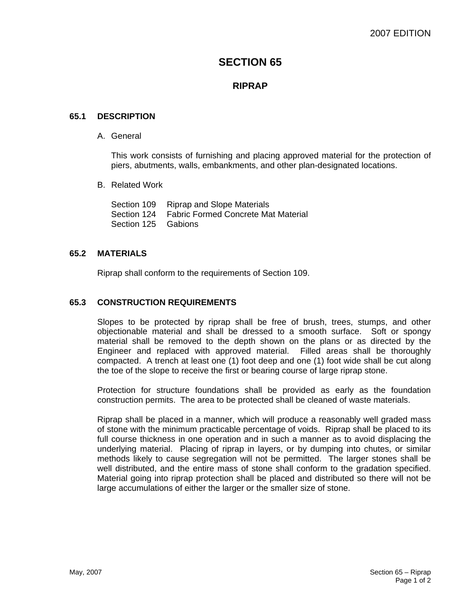# **SECTION 65**

## **RIPRAP**

### **65.1 DESCRIPTION**

A. General

This work consists of furnishing and placing approved material for the protection of piers, abutments, walls, embankments, and other plan-designated locations.

B. Related Work

|                     | Section 109 Riprap and Slope Materials             |
|---------------------|----------------------------------------------------|
|                     | Section 124    Fabric Formed Concrete Mat Material |
| Section 125 Gabions |                                                    |

### **65.2 MATERIALS**

Riprap shall conform to the requirements of Section 109.

#### **65.3 CONSTRUCTION REQUIREMENTS**

Slopes to be protected by riprap shall be free of brush, trees, stumps, and other objectionable material and shall be dressed to a smooth surface. Soft or spongy material shall be removed to the depth shown on the plans or as directed by the Engineer and replaced with approved material. Filled areas shall be thoroughly compacted. A trench at least one (1) foot deep and one (1) foot wide shall be cut along the toe of the slope to receive the first or bearing course of large riprap stone.

Protection for structure foundations shall be provided as early as the foundation construction permits. The area to be protected shall be cleaned of waste materials.

Riprap shall be placed in a manner, which will produce a reasonably well graded mass of stone with the minimum practicable percentage of voids. Riprap shall be placed to its full course thickness in one operation and in such a manner as to avoid displacing the underlying material. Placing of riprap in layers, or by dumping into chutes, or similar methods likely to cause segregation will not be permitted. The larger stones shall be well distributed, and the entire mass of stone shall conform to the gradation specified. Material going into riprap protection shall be placed and distributed so there will not be large accumulations of either the larger or the smaller size of stone.